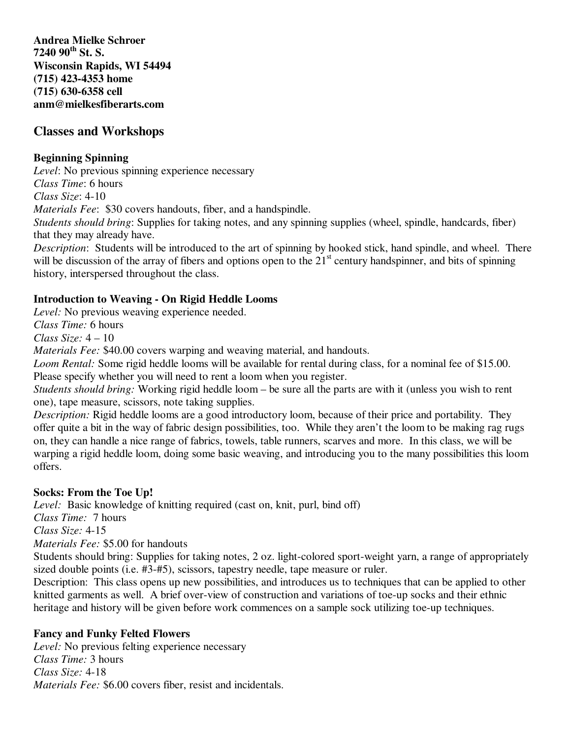**Andrea Mielke Schroer 7240 90th St. S. Wisconsin Rapids, WI 54494 (715) 423-4353 home (715) 630-6358 cell anm@mielkesfiberarts.com**

# **Classes and Workshops**

### **Beginning Spinning**

*Level*: No previous spinning experience necessary

*Class Time*: 6 hours

*Class Size*: 4-10

*Materials Fee*: \$30 covers handouts, fiber, and a handspindle.

*Students should bring*: Supplies for taking notes, and any spinning supplies (wheel, spindle, handcards, fiber) that they may already have.

*Description*: Students will be introduced to the art of spinning by hooked stick, hand spindle, and wheel. There will be discussion of the array of fibers and options open to the  $21<sup>st</sup>$  century handspinner, and bits of spinning history, interspersed throughout the class.

## **Introduction to Weaving - On Rigid Heddle Looms**

*Level:* No previous weaving experience needed.

*Class Time:* 6 hours

*Class Size:* 4 – 10

*Materials Fee:* \$40.00 covers warping and weaving material, and handouts.

*Loom Rental:* Some rigid heddle looms will be available for rental during class, for a nominal fee of \$15.00. Please specify whether you will need to rent a loom when you register.

*Students should bring:* Working rigid heddle loom – be sure all the parts are with it (unless you wish to rent one), tape measure, scissors, note taking supplies.

*Description:* Rigid heddle looms are a good introductory loom, because of their price and portability. They offer quite a bit in the way of fabric design possibilities, too. While they aren't the loom to be making rag rugs on, they can handle a nice range of fabrics, towels, table runners, scarves and more. In this class, we will be warping a rigid heddle loom, doing some basic weaving, and introducing you to the many possibilities this loom offers.

## **Socks: From the Toe Up!**

*Level:* Basic knowledge of knitting required (cast on, knit, purl, bind off) *Class Time:* 7 hours *Class Size:* 4-15 *Materials Fee:* \$5.00 for handouts

Students should bring: Supplies for taking notes, 2 oz. light-colored sport-weight yarn, a range of appropriately sized double points (i.e. #3-#5), scissors, tapestry needle, tape measure or ruler.

Description: This class opens up new possibilities, and introduces us to techniques that can be applied to other knitted garments as well. A brief over-view of construction and variations of toe-up socks and their ethnic heritage and history will be given before work commences on a sample sock utilizing toe-up techniques.

## **Fancy and Funky Felted Flowers**

*Level:* No previous felting experience necessary *Class Time:* 3 hours *Class Size:* 4-18 *Materials Fee:* \$6.00 covers fiber, resist and incidentals.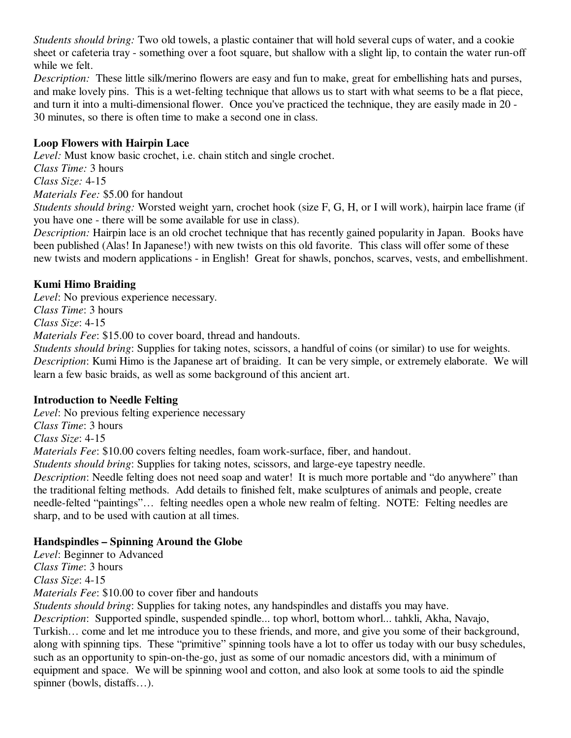*Students should bring:* Two old towels, a plastic container that will hold several cups of water, and a cookie sheet or cafeteria tray - something over a foot square, but shallow with a slight lip, to contain the water run-off while we felt.

*Description:* These little silk/merino flowers are easy and fun to make, great for embellishing hats and purses, and make lovely pins. This is a wet-felting technique that allows us to start with what seems to be a flat piece, and turn it into a multi-dimensional flower. Once you've practiced the technique, they are easily made in 20 - 30 minutes, so there is often time to make a second one in class.

### **Loop Flowers with Hairpin Lace**

*Level:* Must know basic crochet, i.e. chain stitch and single crochet.

- *Class Time:* 3 hours
- *Class Size:* 4-15

*Materials Fee:* \$5.00 for handout

*Students should bring:* Worsted weight yarn, crochet hook (size F, G, H, or I will work), hairpin lace frame (if you have one - there will be some available for use in class).

*Description:* Hairpin lace is an old crochet technique that has recently gained popularity in Japan. Books have been published (Alas! In Japanese!) with new twists on this old favorite. This class will offer some of these new twists and modern applications - in English! Great for shawls, ponchos, scarves, vests, and embellishment.

### **Kumi Himo Braiding**

*Level*: No previous experience necessary. *Class Time*: 3 hours

*Class Size*: 4-15

*Materials Fee*: \$15.00 to cover board, thread and handouts.

*Students should bring*: Supplies for taking notes, scissors, a handful of coins (or similar) to use for weights. *Description*: Kumi Himo is the Japanese art of braiding. It can be very simple, or extremely elaborate. We will learn a few basic braids, as well as some background of this ancient art.

#### **Introduction to Needle Felting**

*Level*: No previous felting experience necessary *Class Time*: 3 hours *Class Size*: 4-15

*Materials Fee*: \$10.00 covers felting needles, foam work-surface, fiber, and handout.

*Students should bring*: Supplies for taking notes, scissors, and large-eye tapestry needle.

*Description*: Needle felting does not need soap and water! It is much more portable and "do anywhere" than the traditional felting methods. Add details to finished felt, make sculptures of animals and people, create needle-felted "paintings"… felting needles open a whole new realm of felting. NOTE: Felting needles are sharp, and to be used with caution at all times.

## **Handspindles – Spinning Around the Globe**

*Level*: Beginner to Advanced

*Class Time*: 3 hours

*Class Size*: 4-15

*Materials Fee*: \$10.00 to cover fiber and handouts

*Students should bring*: Supplies for taking notes, any handspindles and distaffs you may have. *Description*: Supported spindle, suspended spindle... top whorl, bottom whorl... tahkli, Akha, Navajo, Turkish… come and let me introduce you to these friends, and more, and give you some of their background, along with spinning tips. These "primitive" spinning tools have a lot to offer us today with our busy schedules, such as an opportunity to spin-on-the-go, just as some of our nomadic ancestors did, with a minimum of equipment and space. We will be spinning wool and cotton, and also look at some tools to aid the spindle spinner (bowls, distaffs…).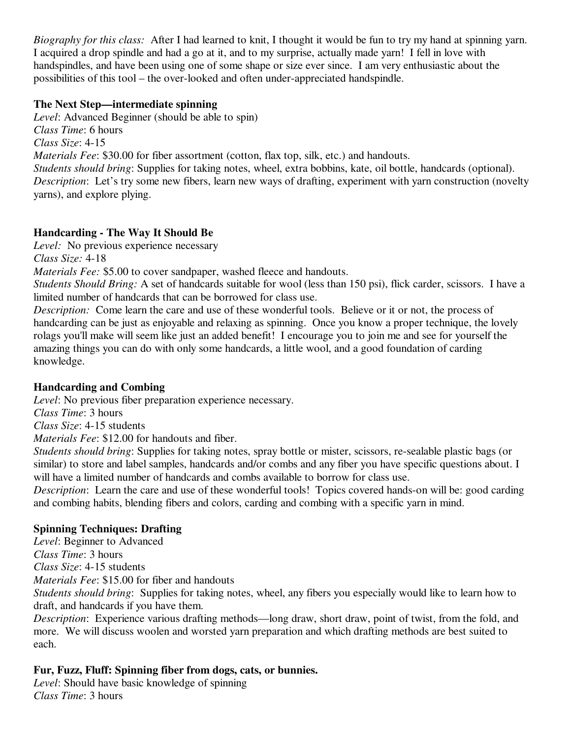*Biography for this class:* After I had learned to knit, I thought it would be fun to try my hand at spinning yarn. I acquired a drop spindle and had a go at it, and to my surprise, actually made yarn! I fell in love with handspindles, and have been using one of some shape or size ever since. I am very enthusiastic about the possibilities of this tool – the over-looked and often under-appreciated handspindle.

#### **The Next Step—intermediate spinning**

*Level*: Advanced Beginner (should be able to spin) *Class Time*: 6 hours *Class Size*: 4-15 *Materials Fee*: \$30.00 for fiber assortment (cotton, flax top, silk, etc.) and handouts. *Students should bring*: Supplies for taking notes, wheel, extra bobbins, kate, oil bottle, handcards (optional). *Description*: Let's try some new fibers, learn new ways of drafting, experiment with yarn construction (novelty yarns), and explore plying.

## **Handcarding - The Way It Should Be**

*Level:* No previous experience necessary

*Class Size:* 4-18

*Materials Fee:* \$5.00 to cover sandpaper, washed fleece and handouts.

*Students Should Bring:* A set of handcards suitable for wool (less than 150 psi), flick carder, scissors. I have a limited number of handcards that can be borrowed for class use.

*Description:* Come learn the care and use of these wonderful tools. Believe or it or not, the process of handcarding can be just as enjoyable and relaxing as spinning. Once you know a proper technique, the lovely rolags you'll make will seem like just an added benefit! I encourage you to join me and see for yourself the amazing things you can do with only some handcards, a little wool, and a good foundation of carding knowledge.

## **Handcarding and Combing**

*Level*: No previous fiber preparation experience necessary.

*Class Time*: 3 hours

*Class Size*: 4-15 students

*Materials Fee*: \$12.00 for handouts and fiber.

*Students should bring*: Supplies for taking notes, spray bottle or mister, scissors, re-sealable plastic bags (or similar) to store and label samples, handcards and/or combs and any fiber you have specific questions about. I will have a limited number of handcards and combs available to borrow for class use.

*Description*: Learn the care and use of these wonderful tools! Topics covered hands-on will be: good carding and combing habits, blending fibers and colors, carding and combing with a specific yarn in mind.

## **Spinning Techniques: Drafting**

*Level*: Beginner to Advanced

*Class Time*: 3 hours

*Class Size*: 4-15 students

*Materials Fee*: \$15.00 for fiber and handouts

*Students should bring*: Supplies for taking notes, wheel, any fibers you especially would like to learn how to draft, and handcards if you have them.

*Description*: Experience various drafting methods—long draw, short draw, point of twist, from the fold, and more. We will discuss woolen and worsted yarn preparation and which drafting methods are best suited to each.

## **Fur, Fuzz, Fluff: Spinning fiber from dogs, cats, or bunnies.**

*Level*: Should have basic knowledge of spinning *Class Time*: 3 hours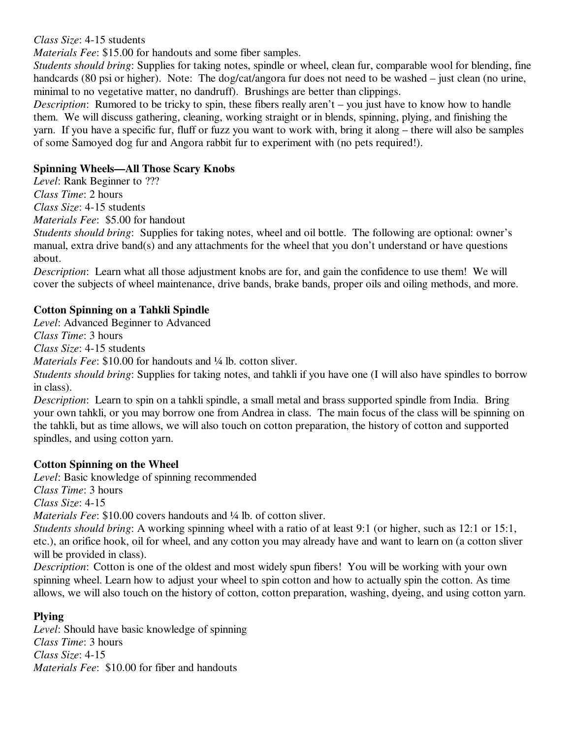#### *Class Size*: 4-15 students

*Materials Fee*: \$15.00 for handouts and some fiber samples.

*Students should bring*: Supplies for taking notes, spindle or wheel, clean fur, comparable wool for blending, fine handcards (80 psi or higher). Note: The dog/cat/angora fur does not need to be washed – just clean (no urine, minimal to no vegetative matter, no dandruff). Brushings are better than clippings.

*Description*: Rumored to be tricky to spin, these fibers really aren't – you just have to know how to handle them. We will discuss gathering, cleaning, working straight or in blends, spinning, plying, and finishing the yarn. If you have a specific fur, fluff or fuzz you want to work with, bring it along – there will also be samples of some Samoyed dog fur and Angora rabbit fur to experiment with (no pets required!).

#### **Spinning Wheels—All Those Scary Knobs**

*Level*: Rank Beginner to ??? *Class Time*: 2 hours *Class Size*: 4-15 students *Materials Fee*: \$5.00 for handout

*Students should bring*: Supplies for taking notes, wheel and oil bottle. The following are optional: owner's manual, extra drive band(s) and any attachments for the wheel that you don't understand or have questions about.

*Description*: Learn what all those adjustment knobs are for, and gain the confidence to use them! We will cover the subjects of wheel maintenance, drive bands, brake bands, proper oils and oiling methods, and more.

### **Cotton Spinning on a Tahkli Spindle**

*Level*: Advanced Beginner to Advanced

*Class Time*: 3 hours

*Class Size*: 4-15 students

*Materials Fee*: \$10.00 for handouts and <sup>1</sup>/4 lb. cotton sliver.

*Students should bring*: Supplies for taking notes, and tahkli if you have one (I will also have spindles to borrow in class).

*Description*: Learn to spin on a tahkli spindle, a small metal and brass supported spindle from India. Bring your own tahkli, or you may borrow one from Andrea in class. The main focus of the class will be spinning on the tahkli, but as time allows, we will also touch on cotton preparation, the history of cotton and supported spindles, and using cotton yarn.

#### **Cotton Spinning on the Wheel**

*Level*: Basic knowledge of spinning recommended

*Class Time*: 3 hours

*Class Size*: 4-15

*Materials Fee*: \$10.00 covers handouts and ¼ lb. of cotton sliver.

*Students should bring*: A working spinning wheel with a ratio of at least 9:1 (or higher, such as 12:1 or 15:1, etc.), an orifice hook, oil for wheel, and any cotton you may already have and want to learn on (a cotton sliver will be provided in class).

*Description*: Cotton is one of the oldest and most widely spun fibers! You will be working with your own spinning wheel. Learn how to adjust your wheel to spin cotton and how to actually spin the cotton. As time allows, we will also touch on the history of cotton, cotton preparation, washing, dyeing, and using cotton yarn.

#### **Plying**

*Level*: Should have basic knowledge of spinning *Class Time*: 3 hours *Class Size*: 4-15 *Materials Fee*: \$10.00 for fiber and handouts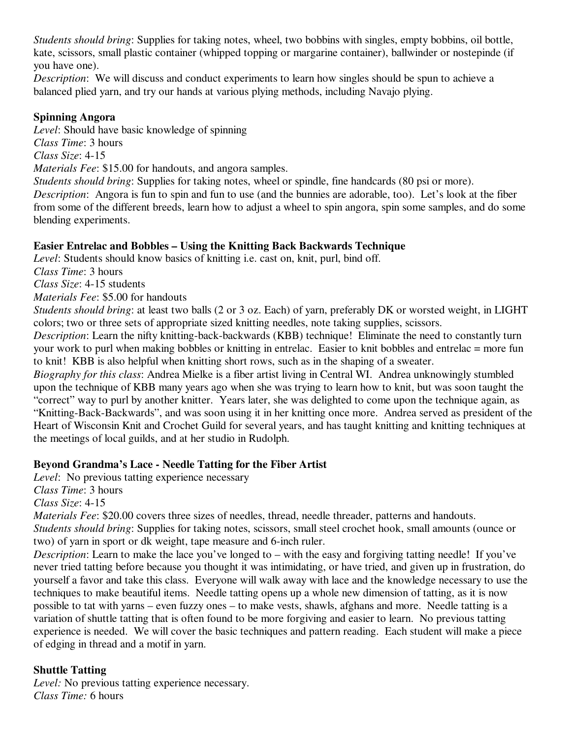*Students should bring*: Supplies for taking notes, wheel, two bobbins with singles, empty bobbins, oil bottle, kate, scissors, small plastic container (whipped topping or margarine container), ballwinder or nostepinde (if you have one).

*Description*: We will discuss and conduct experiments to learn how singles should be spun to achieve a balanced plied yarn, and try our hands at various plying methods, including Navajo plying.

### **Spinning Angora**

*Level*: Should have basic knowledge of spinning

*Class Time*: 3 hours

*Class Size*: 4-15

*Materials Fee*: \$15.00 for handouts, and angora samples.

*Students should bring*: Supplies for taking notes, wheel or spindle, fine handcards (80 psi or more). *Description*: Angora is fun to spin and fun to use (and the bunnies are adorable, too). Let's look at the fiber from some of the different breeds, learn how to adjust a wheel to spin angora, spin some samples, and do some blending experiments.

## **Easier Entrelac and Bobbles – Using the Knitting Back Backwards Technique**

*Level*: Students should know basics of knitting i.e. cast on, knit, purl, bind off.

*Class Time*: 3 hours

*Class Size*: 4-15 students

*Materials Fee*: \$5.00 for handouts

*Students should bring*: at least two balls (2 or 3 oz. Each) of yarn, preferably DK or worsted weight, in LIGHT colors; two or three sets of appropriate sized knitting needles, note taking supplies, scissors.

*Description*: Learn the nifty knitting-back-backwards (KBB) technique! Eliminate the need to constantly turn your work to purl when making bobbles or knitting in entrelac. Easier to knit bobbles and entrelac = more fun to knit! KBB is also helpful when knitting short rows, such as in the shaping of a sweater.

*Biography for this class*: Andrea Mielke is a fiber artist living in Central WI. Andrea unknowingly stumbled upon the technique of KBB many years ago when she was trying to learn how to knit, but was soon taught the "correct" way to purl by another knitter. Years later, she was delighted to come upon the technique again, as "Knitting-Back-Backwards", and was soon using it in her knitting once more. Andrea served as president of the Heart of Wisconsin Knit and Crochet Guild for several years, and has taught knitting and knitting techniques at the meetings of local guilds, and at her studio in Rudolph.

## **Beyond Grandma's Lace - Needle Tatting for the Fiber Artist**

*Level*: No previous tatting experience necessary

*Class Time*: 3 hours

*Class Size*: 4-15

*Materials Fee*: \$20.00 covers three sizes of needles, thread, needle threader, patterns and handouts.

*Students should bring*: Supplies for taking notes, scissors, small steel crochet hook, small amounts (ounce or two) of yarn in sport or dk weight, tape measure and 6-inch ruler.

*Description*: Learn to make the lace you've longed to – with the easy and forgiving tatting needle! If you've never tried tatting before because you thought it was intimidating, or have tried, and given up in frustration, do yourself a favor and take this class. Everyone will walk away with lace and the knowledge necessary to use the techniques to make beautiful items. Needle tatting opens up a whole new dimension of tatting, as it is now possible to tat with yarns – even fuzzy ones – to make vests, shawls, afghans and more. Needle tatting is a variation of shuttle tatting that is often found to be more forgiving and easier to learn. No previous tatting experience is needed. We will cover the basic techniques and pattern reading. Each student will make a piece of edging in thread and a motif in yarn.

# **Shuttle Tatting**

*Level:* No previous tatting experience necessary. *Class Time:* 6 hours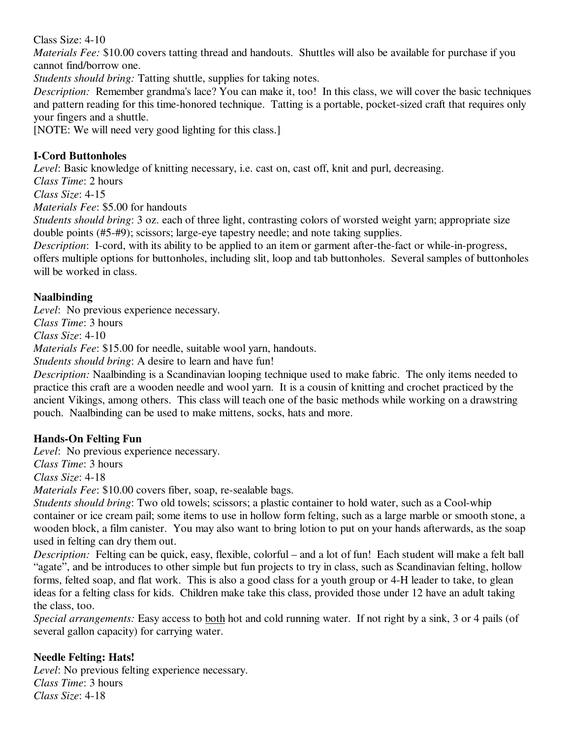Class Size: 4-10

*Materials Fee:* \$10.00 covers tatting thread and handouts. Shuttles will also be available for purchase if you cannot find/borrow one.

*Students should bring:* Tatting shuttle, supplies for taking notes.

*Description:* Remember grandma's lace? You can make it, too! In this class, we will cover the basic techniques and pattern reading for this time-honored technique. Tatting is a portable, pocket-sized craft that requires only your fingers and a shuttle.

[NOTE: We will need very good lighting for this class.]

## **I-Cord Buttonholes**

*Level*: Basic knowledge of knitting necessary, i.e. cast on, cast off, knit and purl, decreasing.

*Class Time*: 2 hours

*Class Size*: 4-15

*Materials Fee*: \$5.00 for handouts

*Students should bring*: 3 oz. each of three light, contrasting colors of worsted weight yarn; appropriate size double points (#5-#9); scissors; large-eye tapestry needle; and note taking supplies.

*Description*: I-cord, with its ability to be applied to an item or garment after-the-fact or while-in-progress, offers multiple options for buttonholes, including slit, loop and tab buttonholes. Several samples of buttonholes will be worked in class.

## **Naalbinding**

*Level*: No previous experience necessary.

*Class Time*: 3 hours

*Class Size*: 4-10

*Materials Fee*: \$15.00 for needle, suitable wool yarn, handouts.

*Students should bring*: A desire to learn and have fun!

*Description:* Naalbinding is a Scandinavian looping technique used to make fabric. The only items needed to practice this craft are a wooden needle and wool yarn. It is a cousin of knitting and crochet practiced by the ancient Vikings, among others. This class will teach one of the basic methods while working on a drawstring pouch. Naalbinding can be used to make mittens, socks, hats and more.

## **Hands-On Felting Fun**

*Level*: No previous experience necessary.

*Class Time*: 3 hours

*Class Size*: 4-18

*Materials Fee*: \$10.00 covers fiber, soap, re-sealable bags.

*Students should bring*: Two old towels; scissors; a plastic container to hold water, such as a Cool-whip container or ice cream pail; some items to use in hollow form felting, such as a large marble or smooth stone, a wooden block, a film canister. You may also want to bring lotion to put on your hands afterwards, as the soap used in felting can dry them out.

*Description:* Felting can be quick, easy, flexible, colorful – and a lot of fun! Each student will make a felt ball "agate", and be introduces to other simple but fun projects to try in class, such as Scandinavian felting, hollow forms, felted soap, and flat work. This is also a good class for a youth group or 4-H leader to take, to glean ideas for a felting class for kids. Children make take this class, provided those under 12 have an adult taking the class, too.

*Special arrangements:* Easy access to both hot and cold running water. If not right by a sink, 3 or 4 pails (of several gallon capacity) for carrying water.

## **Needle Felting: Hats!**

*Level*: No previous felting experience necessary. *Class Time*: 3 hours *Class Size*: 4-18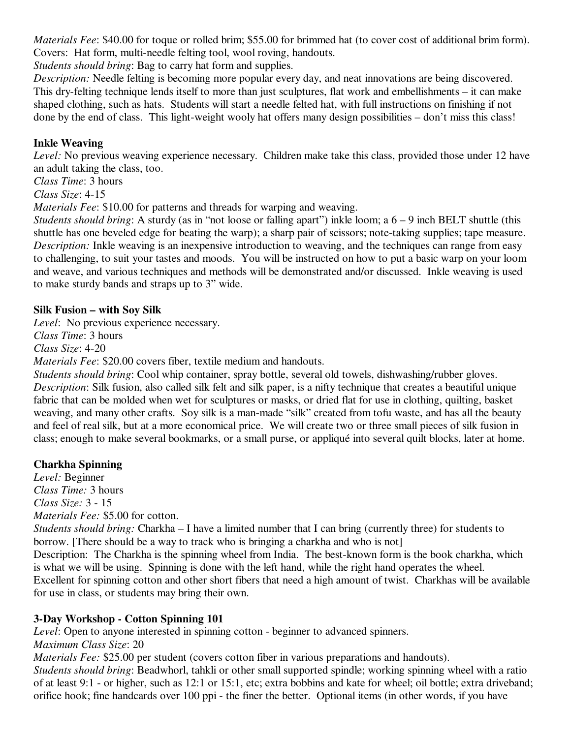*Materials Fee*: \$40.00 for toque or rolled brim; \$55.00 for brimmed hat (to cover cost of additional brim form). Covers: Hat form, multi-needle felting tool, wool roving, handouts.

*Students should bring*: Bag to carry hat form and supplies.

*Description:* Needle felting is becoming more popular every day, and neat innovations are being discovered. This dry-felting technique lends itself to more than just sculptures, flat work and embellishments – it can make shaped clothing, such as hats. Students will start a needle felted hat, with full instructions on finishing if not done by the end of class. This light-weight wooly hat offers many design possibilities – don't miss this class!

## **Inkle Weaving**

*Level:* No previous weaving experience necessary. Children make take this class, provided those under 12 have an adult taking the class, too.

*Class Time*: 3 hours

*Class Size*: 4-15

*Materials Fee*: \$10.00 for patterns and threads for warping and weaving.

*Students should bring*: A sturdy (as in "not loose or falling apart") inkle loom; a 6 – 9 inch BELT shuttle (this shuttle has one beveled edge for beating the warp); a sharp pair of scissors; note-taking supplies; tape measure. *Description:* Inkle weaving is an inexpensive introduction to weaving, and the techniques can range from easy to challenging, to suit your tastes and moods. You will be instructed on how to put a basic warp on your loom and weave, and various techniques and methods will be demonstrated and/or discussed. Inkle weaving is used to make sturdy bands and straps up to 3" wide.

### **Silk Fusion – with Soy Silk**

*Level*: No previous experience necessary.

*Class Time*: 3 hours

*Class Size*: 4-20

*Materials Fee*: \$20.00 covers fiber, textile medium and handouts.

*Students should bring*: Cool whip container, spray bottle, several old towels, dishwashing/rubber gloves. *Description*: Silk fusion, also called silk felt and silk paper, is a nifty technique that creates a beautiful unique fabric that can be molded when wet for sculptures or masks, or dried flat for use in clothing, quilting, basket weaving, and many other crafts. Soy silk is a man-made "silk" created from tofu waste, and has all the beauty and feel of real silk, but at a more economical price. We will create two or three small pieces of silk fusion in class; enough to make several bookmarks, or a small purse, or appliqué into several quilt blocks, later at home.

## **Charkha Spinning**

*Level:* Beginner *Class Time:* 3 hours *Class Size:* 3 - 15 *Materials Fee:* \$5.00 for cotton.

*Students should bring:* Charkha – I have a limited number that I can bring (currently three) for students to borrow. [There should be a way to track who is bringing a charkha and who is not]

Description: The Charkha is the spinning wheel from India. The best-known form is the book charkha, which is what we will be using. Spinning is done with the left hand, while the right hand operates the wheel. Excellent for spinning cotton and other short fibers that need a high amount of twist. Charkhas will be available for use in class, or students may bring their own.

## **3-Day Workshop - Cotton Spinning 101**

*Level*: Open to anyone interested in spinning cotton - beginner to advanced spinners.

*Maximum Class Size*: 20

*Materials Fee:* \$25.00 per student (covers cotton fiber in various preparations and handouts). *Students should bring*: Beadwhorl, tahkli or other small supported spindle; working spinning wheel with a ratio of at least 9:1 - or higher, such as 12:1 or 15:1, etc; extra bobbins and kate for wheel; oil bottle; extra driveband;

orifice hook; fine handcards over 100 ppi - the finer the better. Optional items (in other words, if you have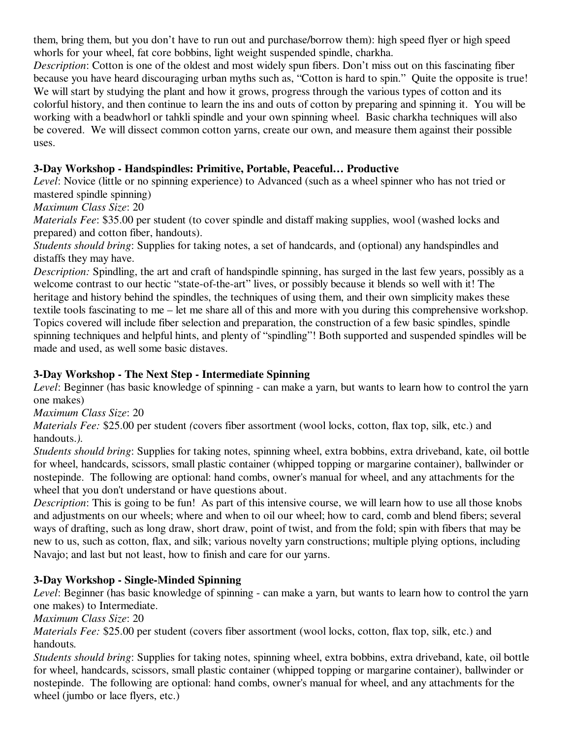them, bring them, but you don't have to run out and purchase/borrow them): high speed flyer or high speed whorls for your wheel, fat core bobbins, light weight suspended spindle, charkha.

*Description*: Cotton is one of the oldest and most widely spun fibers. Don't miss out on this fascinating fiber because you have heard discouraging urban myths such as, "Cotton is hard to spin." Quite the opposite is true! We will start by studying the plant and how it grows, progress through the various types of cotton and its colorful history, and then continue to learn the ins and outs of cotton by preparing and spinning it. You will be working with a beadwhorl or tahkli spindle and your own spinning wheel. Basic charkha techniques will also be covered. We will dissect common cotton yarns, create our own, and measure them against their possible uses.

### **3-Day Workshop - Handspindles: Primitive, Portable, Peaceful… Productive**

*Level*: Novice (little or no spinning experience) to Advanced (such as a wheel spinner who has not tried or mastered spindle spinning)

#### *Maximum Class Size*: 20

*Materials Fee*: \$35.00 per student (to cover spindle and distaff making supplies, wool (washed locks and prepared) and cotton fiber, handouts).

*Students should bring*: Supplies for taking notes, a set of handcards, and (optional) any handspindles and distaffs they may have.

*Description:* Spindling, the art and craft of handspindle spinning, has surged in the last few years, possibly as a welcome contrast to our hectic "state-of-the-art" lives, or possibly because it blends so well with it! The heritage and history behind the spindles, the techniques of using them, and their own simplicity makes these textile tools fascinating to me – let me share all of this and more with you during this comprehensive workshop. Topics covered will include fiber selection and preparation, the construction of a few basic spindles, spindle spinning techniques and helpful hints, and plenty of "spindling"! Both supported and suspended spindles will be made and used, as well some basic distaves.

### **3-Day Workshop - The Next Step - Intermediate Spinning**

*Level*: Beginner (has basic knowledge of spinning - can make a yarn, but wants to learn how to control the yarn one makes)

*Maximum Class Size*: 20

*Materials Fee:* \$25.00 per student *(*covers fiber assortment (wool locks, cotton, flax top, silk, etc.) and handouts.*).*

*Students should bring*: Supplies for taking notes, spinning wheel, extra bobbins, extra driveband, kate, oil bottle for wheel, handcards, scissors, small plastic container (whipped topping or margarine container), ballwinder or nostepinde. The following are optional: hand combs, owner's manual for wheel, and any attachments for the wheel that you don't understand or have questions about.

*Description*: This is going to be fun! As part of this intensive course, we will learn how to use all those knobs and adjustments on our wheels; where and when to oil our wheel; how to card, comb and blend fibers; several ways of drafting, such as long draw, short draw, point of twist, and from the fold; spin with fibers that may be new to us, such as cotton, flax, and silk; various novelty yarn constructions; multiple plying options, including Navajo; and last but not least, how to finish and care for our yarns.

#### **3-Day Workshop - Single-Minded Spinning**

*Level*: Beginner (has basic knowledge of spinning - can make a yarn, but wants to learn how to control the yarn one makes) to Intermediate.

*Maximum Class Size*: 20

*Materials Fee:* \$25.00 per student (covers fiber assortment (wool locks, cotton, flax top, silk, etc.) and handouts*.*

*Students should bring*: Supplies for taking notes, spinning wheel, extra bobbins, extra driveband, kate, oil bottle for wheel, handcards, scissors, small plastic container (whipped topping or margarine container), ballwinder or nostepinde. The following are optional: hand combs, owner's manual for wheel, and any attachments for the wheel (jumbo or lace flyers, etc.)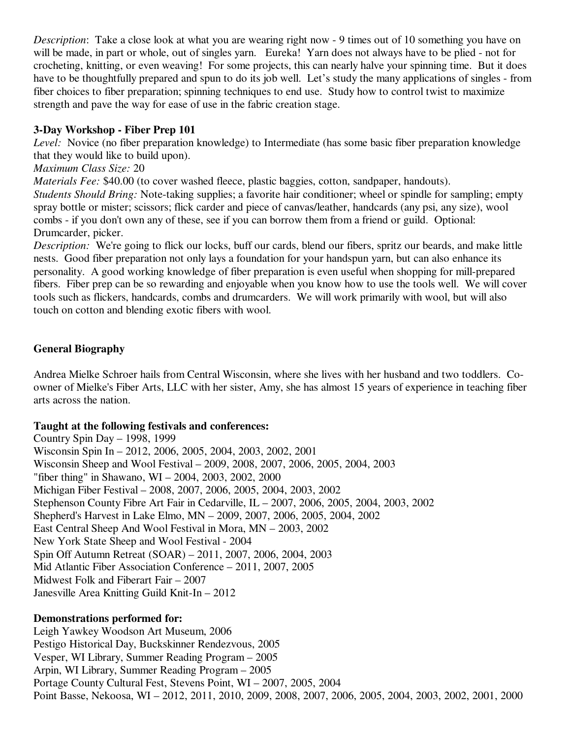*Description*: Take a close look at what you are wearing right now - 9 times out of 10 something you have on will be made, in part or whole, out of singles yarn. Eureka! Yarn does not always have to be plied - not for crocheting, knitting, or even weaving! For some projects, this can nearly halve your spinning time. But it does have to be thoughtfully prepared and spun to do its job well. Let's study the many applications of singles - from fiber choices to fiber preparation; spinning techniques to end use. Study how to control twist to maximize strength and pave the way for ease of use in the fabric creation stage.

#### **3-Day Workshop - Fiber Prep 101**

*Level:* Novice (no fiber preparation knowledge) to Intermediate (has some basic fiber preparation knowledge that they would like to build upon).

#### *Maximum Class Size:* 20

*Materials Fee:* \$40.00 (to cover washed fleece, plastic baggies, cotton, sandpaper, handouts). *Students Should Bring:* Note-taking supplies; a favorite hair conditioner; wheel or spindle for sampling; empty spray bottle or mister; scissors; flick carder and piece of canvas/leather, handcards (any psi, any size), wool combs - if you don't own any of these, see if you can borrow them from a friend or guild. Optional: Drumcarder, picker.

*Description:* We're going to flick our locks, buff our cards, blend our fibers, spritz our beards, and make little nests. Good fiber preparation not only lays a foundation for your handspun yarn, but can also enhance its personality. A good working knowledge of fiber preparation is even useful when shopping for mill-prepared fibers. Fiber prep can be so rewarding and enjoyable when you know how to use the tools well. We will cover tools such as flickers, handcards, combs and drumcarders. We will work primarily with wool, but will also touch on cotton and blending exotic fibers with wool.

### **General Biography**

Andrea Mielke Schroer hails from Central Wisconsin, where she lives with her husband and two toddlers. Coowner of Mielke's Fiber Arts, LLC with her sister, Amy, she has almost 15 years of experience in teaching fiber arts across the nation.

#### **Taught at the following festivals and conferences:**

Country Spin Day – 1998, 1999 Wisconsin Spin In – 2012, 2006, 2005, 2004, 2003, 2002, 2001 Wisconsin Sheep and Wool Festival – 2009, 2008, 2007, 2006, 2005, 2004, 2003 "fiber thing" in Shawano, WI – 2004, 2003, 2002, 2000 Michigan Fiber Festival – 2008, 2007, 2006, 2005, 2004, 2003, 2002 Stephenson County Fibre Art Fair in Cedarville, IL – 2007, 2006, 2005, 2004, 2003, 2002 Shepherd's Harvest in Lake Elmo, MN – 2009, 2007, 2006, 2005, 2004, 2002 East Central Sheep And Wool Festival in Mora, MN – 2003, 2002 New York State Sheep and Wool Festival - 2004 Spin Off Autumn Retreat (SOAR) – 2011, 2007, 2006, 2004, 2003 Mid Atlantic Fiber Association Conference – 2011, 2007, 2005 Midwest Folk and Fiberart Fair – 2007 Janesville Area Knitting Guild Knit-In – 2012

#### **Demonstrations performed for:**

Leigh Yawkey Woodson Art Museum, 2006 Pestigo Historical Day, Buckskinner Rendezvous, 2005 Vesper, WI Library, Summer Reading Program – 2005 Arpin, WI Library, Summer Reading Program – 2005 Portage County Cultural Fest, Stevens Point, WI – 2007, 2005, 2004 Point Basse, Nekoosa, WI – 2012, 2011, 2010, 2009, 2008, 2007, 2006, 2005, 2004, 2003, 2002, 2001, 2000